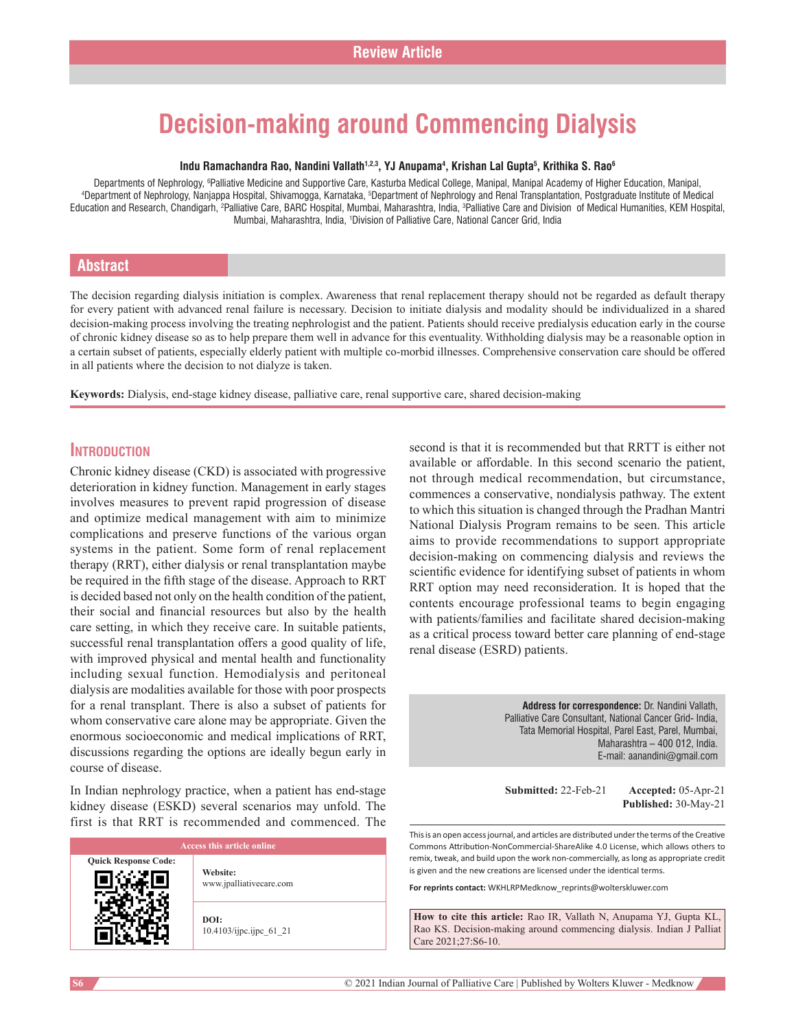# **Decision‑making around Commencing Dialysis**

#### **Indu Ramachandra Rao, Nandini Vallath1,2,3, YJ Anupama4 , Krishan Lal Gupta5 , Krithika S. Rao6**

Departments of Nephrology, <sup>6</sup>Palliative Medicine and Supportive Care, Kasturba Medical College, Manipal, Manipal Academy of Higher Education, Manipal,<br>Annartment of Nephrology, Nanjanna Hospital, Shivamogga, Karnataka, <sup>5</sup> Department of Nephrology, Nanjappa Hospital, Shivamogga, Karnataka, <sup>s</sup>Department of Nephrology and Renal Transplantation, Postgraduate Institute of Medical Education and Research, Chandigarh, <sup>2</sup>Palliative Care, BARC Hospital, Mumbai, Maharashtra, India, <sup>3</sup>Palliative Care and Division of Medical Humanities, KEM Hospital, Mumbai, Maharashtra, India, 1 Division of Palliative Care, National Cancer Grid, India

#### **Abstract**

The decision regarding dialysis initiation is complex. Awareness that renal replacement therapy should not be regarded as default therapy for every patient with advanced renal failure is necessary. Decision to initiate dialysis and modality should be individualized in a shared decision-making process involving the treating nephrologist and the patient. Patients should receive predialysis education early in the course of chronic kidney disease so as to help prepare them well in advance for this eventuality. Withholding dialysis may be a reasonable option in a certain subset of patients, especially elderly patient with multiple co-morbid illnesses. Comprehensive conservation care should be offered in all patients where the decision to not dialyze is taken.

Keywords: Dialysis, end-stage kidney disease, palliative care, renal supportive care, shared decision-making

#### **Introduction**

Chronic kidney disease (CKD) is associated with progressive deterioration in kidney function. Management in early stages involves measures to prevent rapid progression of disease and optimize medical management with aim to minimize complications and preserve functions of the various organ systems in the patient. Some form of renal replacement therapy (RRT), either dialysis or renal transplantation maybe be required in the fifth stage of the disease. Approach to RRT is decided based not only on the health condition of the patient, their social and financial resources but also by the health care setting, in which they receive care. In suitable patients, successful renal transplantation offers a good quality of life, with improved physical and mental health and functionality including sexual function. Hemodialysis and peritoneal dialysis are modalities available for those with poor prospects for a renal transplant. There is also a subset of patients for whom conservative care alone may be appropriate. Given the enormous socioeconomic and medical implications of RRT, discussions regarding the options are ideally begun early in course of disease.

In Indian nephrology practice, when a patient has end‑stage kidney disease (ESKD) several scenarios may unfold. The first is that RRT is recommended and commenced. The

| Access this article online  |                                     |
|-----------------------------|-------------------------------------|
| <b>Quick Response Code:</b> | Website:<br>www.jpalliativecare.com |
|                             | DOI:<br>10.4103/ijpc.ijpc 61 21     |

second is that it is recommended but that RRTT is either not available or affordable. In this second scenario the patient, not through medical recommendation, but circumstance, commences a conservative, nondialysis pathway. The extent to which this situation is changed through the Pradhan Mantri National Dialysis Program remains to be seen. This article aims to provide recommendations to support appropriate decision‑making on commencing dialysis and reviews the scientific evidence for identifying subset of patients in whom RRT option may need reconsideration. It is hoped that the contents encourage professional teams to begin engaging with patients/families and facilitate shared decision-making as a critical process toward better care planning of end‑stage renal disease (ESRD) patients.

> **Address for correspondence:** Dr. Nandini Vallath, Palliative Care Consultant, National Cancer Grid- India, Tata Memorial Hospital, Parel East, Parel, Mumbai, Maharashtra – 400 012, India. E-mail: aanandini@gmail.com

**Submitted:** 22‑Feb‑21 **Accepted:** 05‑Apr‑21 **Published:** 30‑May‑21

This is an open access journal, and articles are distributed under the terms of the Creative Commons Attribution‑NonCommercial‑ShareAlike 4.0 License, which allows others to remix, tweak, and build upon the work non‑commercially, as long as appropriate credit is given and the new creations are licensed under the identical terms.

**For reprints contact:** WKHLRPMedknow\_reprints@wolterskluwer.com

**How to cite this article:** Rao IR, Vallath N, Anupama YJ, Gupta KL, Rao KS. Decision-making around commencing dialysis. Indian J Palliat Care 2021;27:S6-10.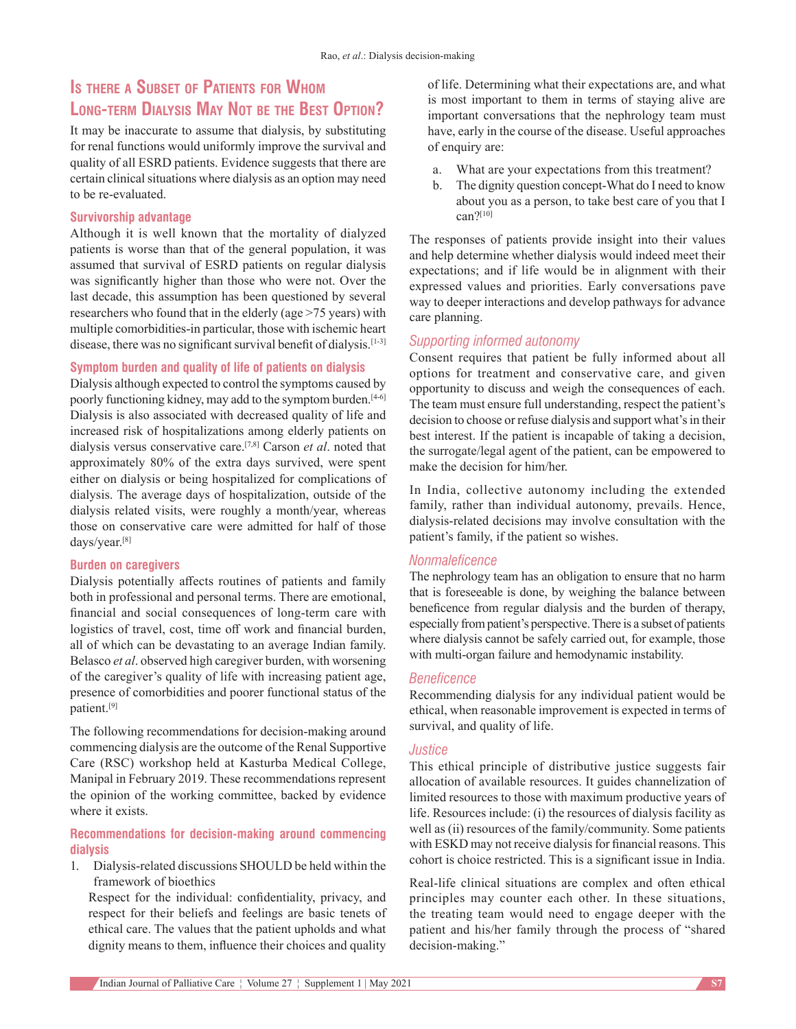# **Is there <sup>a</sup> Subset of Patients for Whom Long‑term Dialysis May Not be the Best Option?**

It may be inaccurate to assume that dialysis, by substituting for renal functions would uniformly improve the survival and quality of all ESRD patients. Evidence suggests that there are certain clinical situations where dialysis as an option may need to be re‑evaluated.

#### **Survivorship advantage**

Although it is well known that the mortality of dialyzed patients is worse than that of the general population, it was assumed that survival of ESRD patients on regular dialysis was significantly higher than those who were not. Over the last decade, this assumption has been questioned by several researchers who found that in the elderly (age >75 years) with multiple comorbidities‑in particular, those with ischemic heart disease, there was no significant survival benefit of dialysis.<sup>[1-3]</sup>

#### **Symptom burden and quality of life of patients on dialysis**

Dialysis although expected to control the symptoms caused by poorly functioning kidney, may add to the symptom burden.<sup>[4-6]</sup> Dialysis is also associated with decreased quality of life and increased risk of hospitalizations among elderly patients on dialysis versus conservative care.[7,8] Carson *et al*. noted that approximately 80% of the extra days survived, were spent either on dialysis or being hospitalized for complications of dialysis. The average days of hospitalization, outside of the dialysis related visits, were roughly a month/year, whereas those on conservative care were admitted for half of those days/year.[8]

#### **Burden on caregivers**

Dialysis potentially affects routines of patients and family both in professional and personal terms. There are emotional, financial and social consequences of long-term care with logistics of travel, cost, time off work and financial burden, all of which can be devastating to an average Indian family. Belasco *et al*. observed high caregiver burden, with worsening of the caregiver's quality of life with increasing patient age, presence of comorbidities and poorer functional status of the patient.[9]

The following recommendations for decision-making around commencing dialysis are the outcome of the Renal Supportive Care (RSC) workshop held at Kasturba Medical College, Manipal in February 2019. These recommendations represent the opinion of the working committee, backed by evidence where it exists.

#### **Recommendations for decision‑making around commencing dialysis**

1. Dialysis‑related discussions SHOULD be held within the framework of bioethics

Respect for the individual: confidentiality, privacy, and respect for their beliefs and feelings are basic tenets of ethical care. The values that the patient upholds and what dignity means to them, influence their choices and quality

of life. Determining what their expectations are, and what is most important to them in terms of staying alive are important conversations that the nephrology team must have, early in the course of the disease. Useful approaches of enquiry are:

- a. What are your expectations from this treatment?
- b. The dignity question concept-What do I need to know about you as a person, to take best care of you that I can?[10]

The responses of patients provide insight into their values and help determine whether dialysis would indeed meet their expectations; and if life would be in alignment with their expressed values and priorities. Early conversations pave way to deeper interactions and develop pathways for advance care planning.

#### *Supporting informed autonomy*

Consent requires that patient be fully informed about all options for treatment and conservative care, and given opportunity to discuss and weigh the consequences of each. The team must ensure full understanding, respect the patient's decision to choose or refuse dialysis and support what's in their best interest. If the patient is incapable of taking a decision, the surrogate/legal agent of the patient, can be empowered to make the decision for him/her.

In India, collective autonomy including the extended family, rather than individual autonomy, prevails. Hence, dialysis‑related decisions may involve consultation with the patient's family, if the patient so wishes.

#### *Nonmaleficence*

The nephrology team has an obligation to ensure that no harm that is foreseeable is done, by weighing the balance between beneficence from regular dialysis and the burden of therapy, especially from patient's perspective. There is a subset of patients where dialysis cannot be safely carried out, for example, those with multi-organ failure and hemodynamic instability.

#### *Beneficence*

Recommending dialysis for any individual patient would be ethical, when reasonable improvement is expected in terms of survival, and quality of life.

#### *Justice*

This ethical principle of distributive justice suggests fair allocation of available resources. It guides channelization of limited resources to those with maximum productive years of life. Resources include: (i) the resources of dialysis facility as well as (ii) resources of the family/community. Some patients with ESKD may not receive dialysis for financial reasons. This cohort is choice restricted. This is a significant issue in India.

Real-life clinical situations are complex and often ethical principles may counter each other. In these situations, the treating team would need to engage deeper with the patient and his/her family through the process of "shared decision-making."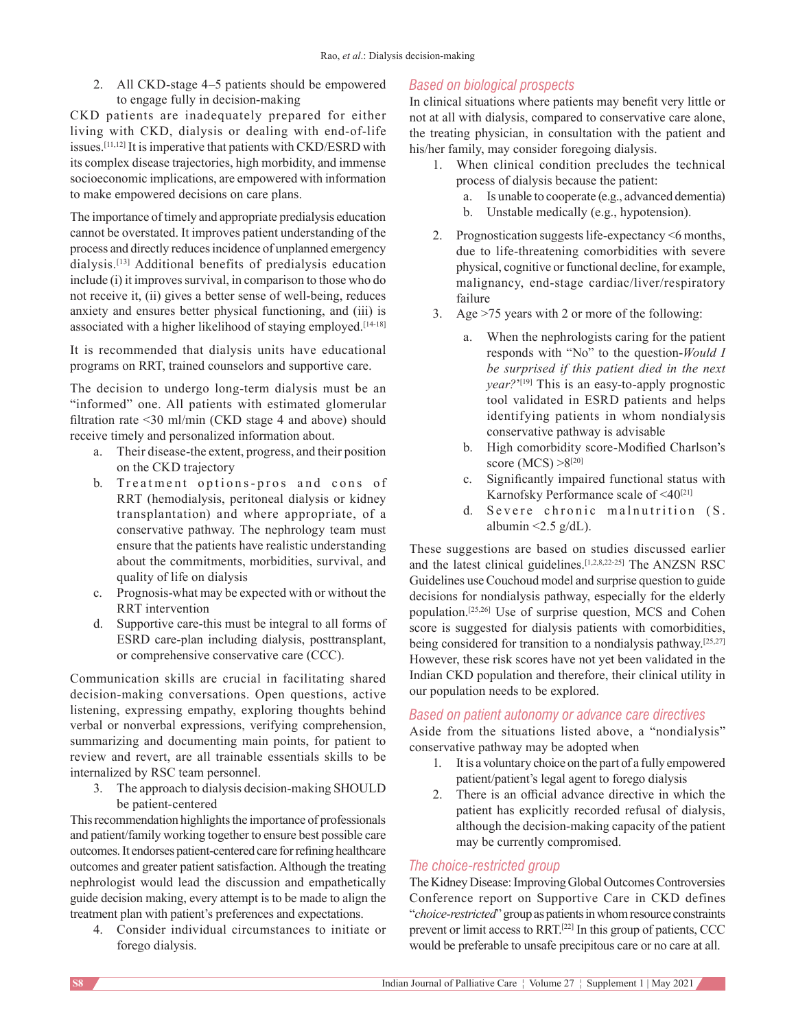2. All CKD‑stage 4–5 patients should be empowered to engage fully in decision‑making

CKD patients are inadequately prepared for either living with CKD, dialysis or dealing with end-of-life issues.[11,12] It is imperative that patients with CKD/ESRD with its complex disease trajectories, high morbidity, and immense socioeconomic implications, are empowered with information to make empowered decisions on care plans.

The importance of timely and appropriate predialysis education cannot be overstated. It improves patient understanding of the process and directly reduces incidence of unplanned emergency dialysis.[13] Additional benefits of predialysis education include (i) it improves survival, in comparison to those who do not receive it, (ii) gives a better sense of well-being, reduces anxiety and ensures better physical functioning, and (iii) is associated with a higher likelihood of staying employed.<sup>[14-18]</sup>

It is recommended that dialysis units have educational programs on RRT, trained counselors and supportive care.

The decision to undergo long-term dialysis must be an "informed" one. All patients with estimated glomerular filtration rate <30 ml/min (CKD stage 4 and above) should receive timely and personalized information about.

- a. Their disease-the extent, progress, and their position on the CKD trajectory
- b. Treatment options-pros and cons of RRT (hemodialysis, peritoneal dialysis or kidney transplantation) and where appropriate, of a conservative pathway. The nephrology team must ensure that the patients have realistic understanding about the commitments, morbidities, survival, and quality of life on dialysis
- c. Prognosis‑what may be expected with or without the RRT intervention
- d. Supportive care-this must be integral to all forms of ESRD care‑plan including dialysis, posttransplant, or comprehensive conservative care (CCC).

Communication skills are crucial in facilitating shared decision-making conversations. Open questions, active listening, expressing empathy, exploring thoughts behind verbal or nonverbal expressions, verifying comprehension, summarizing and documenting main points, for patient to review and revert, are all trainable essentials skills to be internalized by RSC team personnel.

3. The approach to dialysis decision-making SHOULD be patient‑centered

This recommendation highlights the importance of professionals and patient/family working together to ensure best possible care outcomes. It endorses patient‑centered care for refining healthcare outcomes and greater patient satisfaction. Although the treating nephrologist would lead the discussion and empathetically guide decision making, every attempt is to be made to align the treatment plan with patient's preferences and expectations.

4. Consider individual circumstances to initiate or forego dialysis.

# *Based on biological prospects*

In clinical situations where patients may benefit very little or not at all with dialysis, compared to conservative care alone, the treating physician, in consultation with the patient and his/her family, may consider foregoing dialysis.

- 1. When clinical condition precludes the technical process of dialysis because the patient:
	- a. Is unable to cooperate (e.g., advanced dementia)
	- b. Unstable medically (e.g., hypotension).
- 2. Prognostication suggests life-expectancy <6 months, due to life-threatening comorbidities with severe physical, cognitive or functional decline, for example, malignancy, end‑stage cardiac/liver/respiratory failure
- 3. Age >75 years with 2 or more of the following:
	- a. When the nephrologists caring for the patient responds with "No" to the question‑*Would I be surprised if this patient died in the next year*?'<sup>[19]</sup> This is an easy-to-apply prognostic tool validated in ESRD patients and helps identifying patients in whom nondialysis conservative pathway is advisable
	- b. High comorbidity score‑Modified Charlson's score (MCS)  $>8^{[20]}$
	- c. Significantly impaired functional status with Karnofsky Performance scale of <40<sup>[21]</sup>
	- d. Severe chronic malnutrition (S. albumin  $\leq$ 2.5 g/dL).

These suggestions are based on studies discussed earlier and the latest clinical guidelines.[1,2,8,22‑25] The ANZSN RSC Guidelines use Couchoud model and surprise question to guide decisions for nondialysis pathway, especially for the elderly population.[25,26] Use of surprise question, MCS and Cohen score is suggested for dialysis patients with comorbidities, being considered for transition to a nondialysis pathway.<sup>[25,27]</sup> However, these risk scores have not yet been validated in the Indian CKD population and therefore, their clinical utility in our population needs to be explored.

## *Based on patient autonomy or advance care directives*

Aside from the situations listed above, a "nondialysis" conservative pathway may be adopted when

- 1. It is a voluntary choice on the part of a fully empowered patient/patient's legal agent to forego dialysis
- 2. There is an official advance directive in which the patient has explicitly recorded refusal of dialysis, although the decision‑making capacity of the patient may be currently compromised.

## *The choice‑restricted group*

The Kidney Disease: Improving Global Outcomes Controversies Conference report on Supportive Care in CKD defines "*choice‑restricted*" group as patients in whom resource constraints prevent or limit access to RRT.[22] In this group of patients, CCC would be preferable to unsafe precipitous care or no care at all.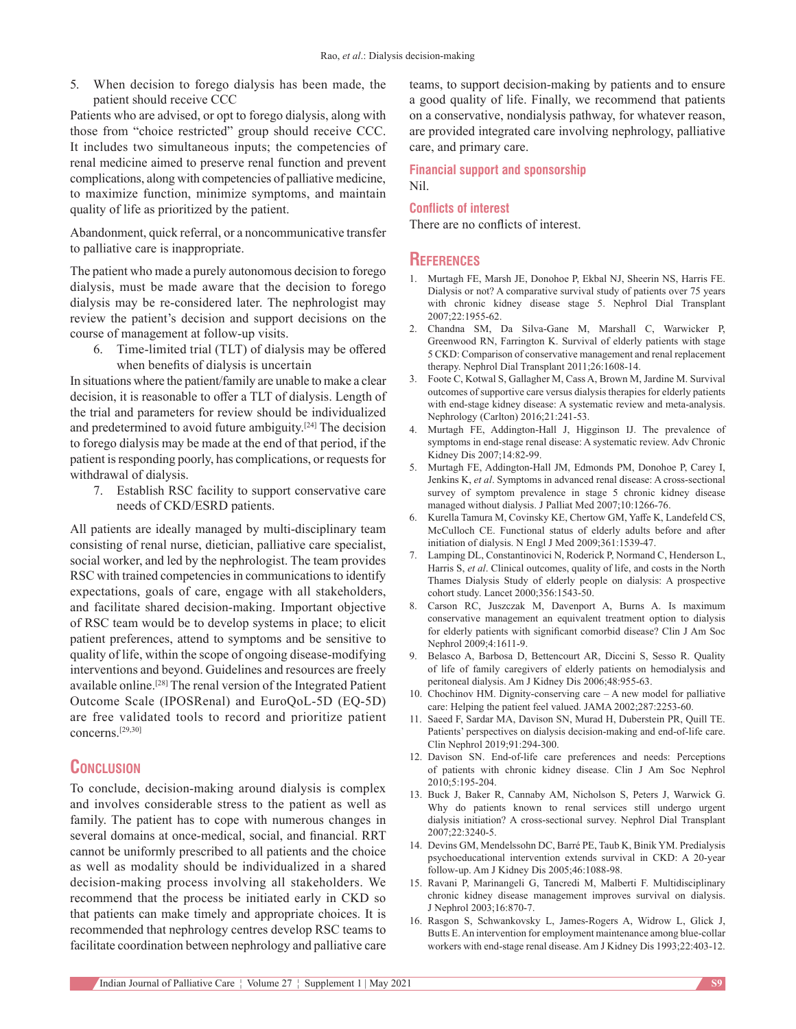5. When decision to forego dialysis has been made, the patient should receive CCC

Patients who are advised, or opt to forego dialysis, along with those from "choice restricted" group should receive CCC. It includes two simultaneous inputs; the competencies of renal medicine aimed to preserve renal function and prevent complications, along with competencies of palliative medicine, to maximize function, minimize symptoms, and maintain quality of life as prioritized by the patient.

Abandonment, quick referral, or a noncommunicative transfer to palliative care is inappropriate.

The patient who made a purely autonomous decision to forego dialysis, must be made aware that the decision to forego dialysis may be re‑considered later. The nephrologist may review the patient's decision and support decisions on the course of management at follow‑up visits.

6. Time‑limited trial (TLT) of dialysis may be offered when benefits of dialysis is uncertain

In situations where the patient/family are unable to make a clear decision, it is reasonable to offer a TLT of dialysis. Length of the trial and parameters for review should be individualized and predetermined to avoid future ambiguity.[24] The decision to forego dialysis may be made at the end of that period, if the patient is responding poorly, has complications, or requests for withdrawal of dialysis.

7. Establish RSC facility to support conservative care needs of CKD/ESRD patients.

All patients are ideally managed by multi-disciplinary team consisting of renal nurse, dietician, palliative care specialist, social worker, and led by the nephrologist. The team provides RSC with trained competencies in communications to identify expectations, goals of care, engage with all stakeholders, and facilitate shared decision-making. Important objective of RSC team would be to develop systems in place; to elicit patient preferences, attend to symptoms and be sensitive to quality of life, within the scope of ongoing disease‑modifying interventions and beyond. Guidelines and resources are freely available online.[28] The renal version of the Integrated Patient Outcome Scale (IPOSRenal) and EuroQoL‑5D (EQ‑5D) are free validated tools to record and prioritize patient concerns.[29,30]

# **Conclusion**

To conclude, decision-making around dialysis is complex and involves considerable stress to the patient as well as family. The patient has to cope with numerous changes in several domains at once-medical, social, and financial. RRT cannot be uniformly prescribed to all patients and the choice as well as modality should be individualized in a shared decision-making process involving all stakeholders. We recommend that the process be initiated early in CKD so that patients can make timely and appropriate choices. It is recommended that nephrology centres develop RSC teams to facilitate coordination between nephrology and palliative care teams, to support decision‑making by patients and to ensure a good quality of life. Finally, we recommend that patients on a conservative, nondialysis pathway, for whatever reason, are provided integrated care involving nephrology, palliative care, and primary care.

**Financial support and sponsorship** Nil.

#### **Conflicts of interest**

There are no conflicts of interest.

#### **References**

- 1. Murtagh FE, Marsh JE, Donohoe P, Ekbal NJ, Sheerin NS, Harris FE. Dialysis or not? A comparative survival study of patients over 75 years with chronic kidney disease stage 5. Nephrol Dial Transplant 2007;22:1955‑62.
- 2. Chandna SM, Da Silva‑Gane M, Marshall C, Warwicker P, Greenwood RN, Farrington K. Survival of elderly patients with stage 5 CKD: Comparison of conservative management and renal replacement therapy. Nephrol Dial Transplant 2011;26:1608-14.
- 3. Foote C, Kotwal S, Gallagher M, Cass A, Brown M, Jardine M. Survival outcomes of supportive care versus dialysis therapies for elderly patients with end-stage kidney disease: A systematic review and meta-analysis. Nephrology (Carlton) 2016;21:241‑53.
- 4. Murtagh FE, Addington‑Hall J, Higginson IJ. The prevalence of symptoms in end‑stage renal disease: A systematic review. Adv Chronic Kidney Dis 2007;14:82‑99.
- 5. Murtagh FE, Addington-Hall JM, Edmonds PM, Donohoe P, Carey I, Jenkins K, *et al*. Symptoms in advanced renal disease: A cross‑sectional survey of symptom prevalence in stage 5 chronic kidney disease managed without dialysis. J Palliat Med 2007;10:1266-76.
- 6. Kurella Tamura M, Covinsky KE, Chertow GM, Yaffe K, Landefeld CS, McCulloch CE. Functional status of elderly adults before and after initiation of dialysis. N Engl J Med 2009;361:1539-47.
- 7. Lamping DL, Constantinovici N, Roderick P, Normand C, Henderson L, Harris S, *et al*. Clinical outcomes, quality of life, and costs in the North Thames Dialysis Study of elderly people on dialysis: A prospective cohort study. Lancet 2000;356:1543‑50.
- 8. Carson RC, Juszczak M, Davenport A, Burns A. Is maximum conservative management an equivalent treatment option to dialysis for elderly patients with significant comorbid disease? Clin J Am Soc Nephrol 2009;4:1611‑9.
- 9. Belasco A, Barbosa D, Bettencourt AR, Diccini S, Sesso R. Quality of life of family caregivers of elderly patients on hemodialysis and peritoneal dialysis. Am J Kidney Dis 2006;48:955‑63.
- 10. Chochinov HM. Dignity-conserving care A new model for palliative care: Helping the patient feel valued. JAMA 2002;287:2253-60.
- 11. Saeed F, Sardar MA, Davison SN, Murad H, Duberstein PR, Quill TE. Patients' perspectives on dialysis decision-making and end-of-life care. Clin Nephrol 2019;91:294‑300.
- 12. Davison SN. End-of-life care preferences and needs: Perceptions of patients with chronic kidney disease. Clin J Am Soc Nephrol 2010;5:195‑204.
- 13. Buck J, Baker R, Cannaby AM, Nicholson S, Peters J, Warwick G. Why do patients known to renal services still undergo urgent dialysis initiation? A cross‑sectional survey. Nephrol Dial Transplant 2007;22:3240‑5.
- 14. Devins GM, Mendelssohn DC, Barré PE, Taub K, Binik YM. Predialysis psychoeducational intervention extends survival in CKD: A 20-year follow‑up. Am J Kidney Dis 2005;46:1088‑98.
- 15. Ravani P, Marinangeli G, Tancredi M, Malberti F. Multidisciplinary chronic kidney disease management improves survival on dialysis. J Nephrol 2003;16:870‑7.
- 16. Rasgon S, Schwankovsky L, James‑Rogers A, Widrow L, Glick J, Butts E. An intervention for employment maintenance among blue-collar workers with end-stage renal disease. Am J Kidney Dis 1993;22:403-12.